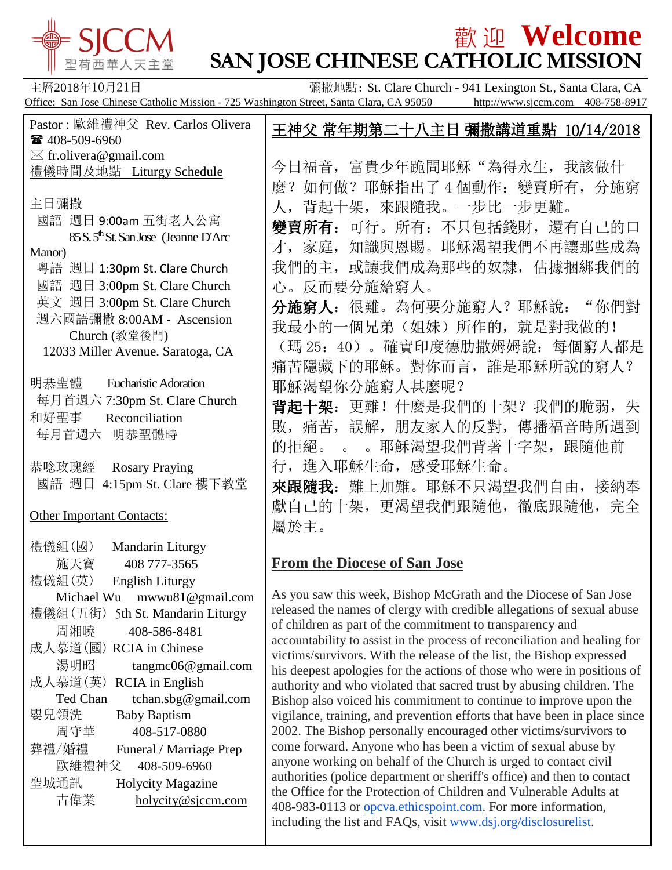

## **截 迎 Welcome SAN JOSE CHINESE CATHOLIC MISSION**

408-983-0113 or [opcva.ethicspoint.com.](https://cl.exct.net/?qs=30c33fe2b379c892dd9a77f646b30fb196a794fb6692afceaa4e536efed5b1a310d27dce4efdb2f8aaa867ab1590b2c8) For more information, including the list and FAQs, visit [www.dsj.org/disclosurelist.](https://cl.exct.net/?qs=30c33fe2b379c8926d38188bef0c1ce3c7b1e2e6fbf5f971a232084a9c18892c409a139a239ee20aacbea937964b5e5d)

主曆2018年10月21日 **Example 2018年10月21日 彌撒地點: St. Clare Church - 941 Lexington St., Santa Clara, CA** Office: San Jose Chinese Catholic Mission - 725 Washington Street, Santa Clara, CA 95050 http://www.sjccm.com 408-758-8917 Pastor : 歐維禮神父 Rev. Carlos Olivera ■ 408-509-6960  $\boxtimes$  fr.olivera@gmail.com 禮儀時間及地點 Liturgy Schedule 主日彌撒 國語 週日 9:00am 五街老人公寓 85 S. 5<sup>th</sup> St. San Jose (Jeanne D'Arc) Manor) 粵語 週日 1:30pm St. Clare Church 國語 週日 3:00pm St. Clare Church 英文 週日 3:00pm St. Clare Church 週六國語彌撒 8:00AM - Ascension Church (教堂後門) 12033 Miller Avenue. Saratoga, CA 明恭聖體 Eucharistic Adoration 每月首週六 7:30pm St. Clare Church 和好聖事 Reconciliation 每月首週六 明恭聖體時 恭唸玫瑰經 Rosary Praying 國語 週日 4:15pm St. Clare 樓下教堂 Other Important Contacts: 禮儀組(國) Mandarin Liturgy 施天寶 408 777-3565 禮儀組(英) English Liturgy Michael Wu mwwu81@gmail.com 禮儀組(五街) 5th St. Mandarin Liturgy 周湘曉 408-586-8481 成人慕道(國) RCIA in Chinese 湯明昭 tangmc06@gmail.com 成人慕道(英) RCIA in English Ted Chan tchan.sbg@gmail.com 嬰兒領洗 Baby Baptism 周守華 408-517-0880 葬禮/婚禮 Funeral / Marriage Prep 歐維禮神父 408-509-6960 聖城通訊 Holycity Magazine 古偉業 [holycity@sjccm.com](mailto:holycity@sjccm.com) 王神父 常年期第二十八主日 彌撒講道重點 10**/**14/2018 今日福音,富貴少年跪問耶穌"為得永生,我該做什 麼?如何做?耶穌指出了 4 個動作:變賣所有,分施窮 人,背起十架,來跟隨我。一步比一步更難。 變賣所有:可行。所有:不只包括錢財,還有自己的口 才,家庭,知識與恩賜。耶穌渴望我們不再讓那些成為 我們的主,或讓我們成為那些的奴隸,佔據捆綁我們的 心。反而要分施給窮人。 分施窮人:很難。為何要分施窮人?耶穌說:"你們對 我最小的一個兄弟(姐妹)所作的,就是對我做的! (瑪 25:40)。確實印度德肋撒姆姆說:每個窮人都是 痛苦隱藏下的耶穌。對你而言,誰是耶穌所說的窮人? 耶穌渴望你分施窮人甚麼呢? 背起十架:更難!什麼是我們的十架?我們的脆弱,失 敗,痛苦,誤解,朋友家人的反對,傳播福音時所遇到 的拒絕。 。 。 耶穌渴望我們背著十字架, 跟隨他前 行,進入耶穌生命,感受耶穌生命。 來跟隨我: 難上加難。耶穌不只渴望我們自由, 接納奉 獻自己的十架,更渴望我們跟隨他, 徹底跟隨他, 完全 屬於主。 **From the Diocese of San Jose** As you saw this week, Bishop McGrath and the Diocese of San Jose released the names of clergy with credible allegations of sexual abuse of children as part of the commitment to transparency and accountability to assist in the process of reconciliation and healing for victims/survivors. With the release of the list, the Bishop expressed his deepest apologies for the actions of those who were in positions of authority and who violated that sacred trust by abusing children. The Bishop also voiced his commitment to continue to improve upon the vigilance, training, and prevention efforts that have been in place since 2002. The Bishop personally encouraged other victims/survivors to come forward. Anyone who has been a victim of sexual abuse by anyone working on behalf of the Church is urged to contact civil authorities (police department or sheriff's office) and then to contact the Office for the Protection of Children and Vulnerable Adults at